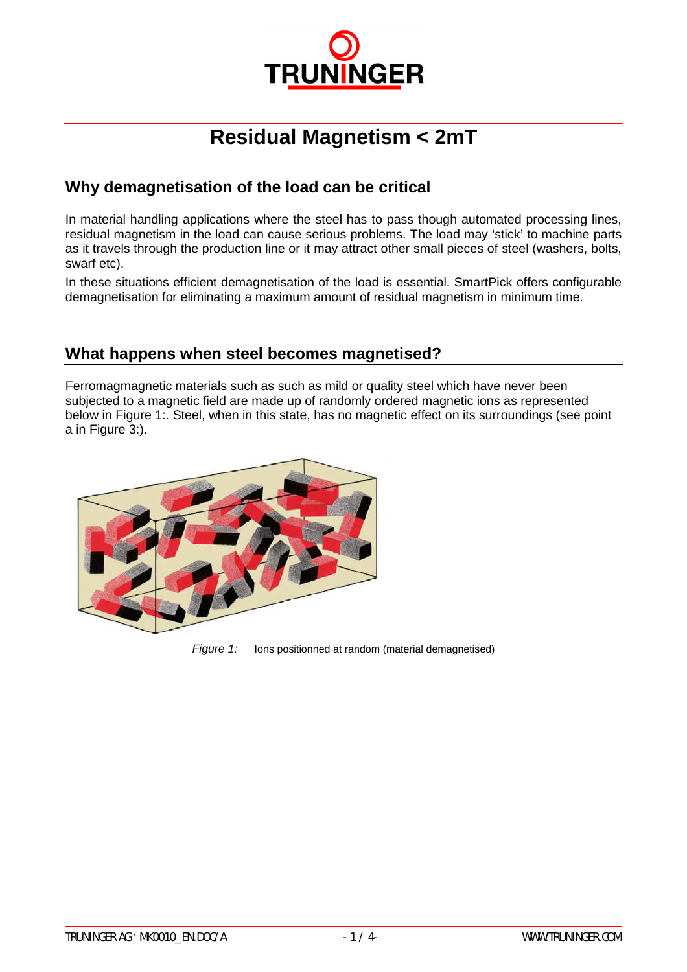

# **Residual Magnetism < 2mT**

#### **Why demagnetisation of the load can be critical**

In material handling applications where the steel has to pass though automated processing lines, residual magnetism in the load can cause serious problems. The load may 'stick' to machine parts as it travels through the production line or it may attract other small pieces of steel (washers, bolts, swarf etc).

In these situations efficient demagnetisation of the load is essential. SmartPick offers configurable demagnetisation for eliminating a maximum amount of residual magnetism in minimum time.

#### **What happens when steel becomes magnetised?**

Ferromagmagnetic materials such as such as mild or quality steel which have never been subjected to a magnetic field are made up of randomly ordered magnetic ions as represented below in Figure 1:. Steel, when in this state, has no magnetic effect on its surroundings (see point a in Figure 3:).



*Figure 1:* Ions positionned at random (material demagnetised)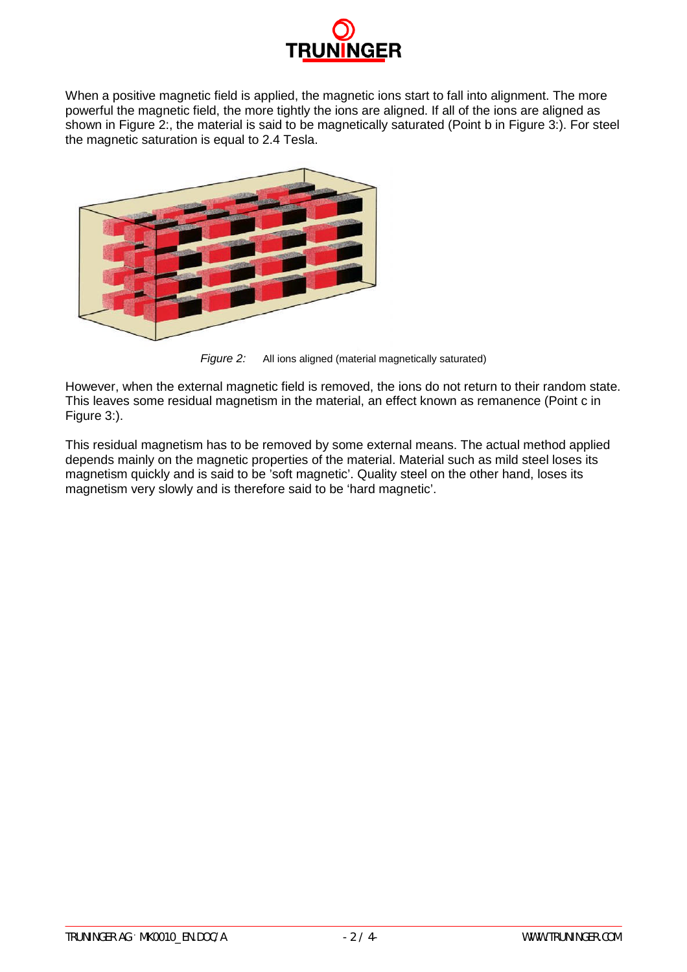

When a positive magnetic field is applied, the magnetic ions start to fall into alignment. The more powerful the magnetic field, the more tightly the ions are aligned. If all of the ions are aligned as shown in Figure 2:, the material is said to be magnetically saturated (Point b in Figure 3:). For steel the magnetic saturation is equal to 2.4 Tesla.



*Figure 2:* All ions aligned (material magnetically saturated)

However, when the external magnetic field is removed, the ions do not return to their random state. This leaves some residual magnetism in the material, an effect known as remanence (Point c in Figure 3:).

This residual magnetism has to be removed by some external means. The actual method applied depends mainly on the magnetic properties of the material. Material such as mild steel loses its magnetism quickly and is said to be 'soft magnetic'. Quality steel on the other hand, loses its magnetism very slowly and is therefore said to be 'hard magnetic'.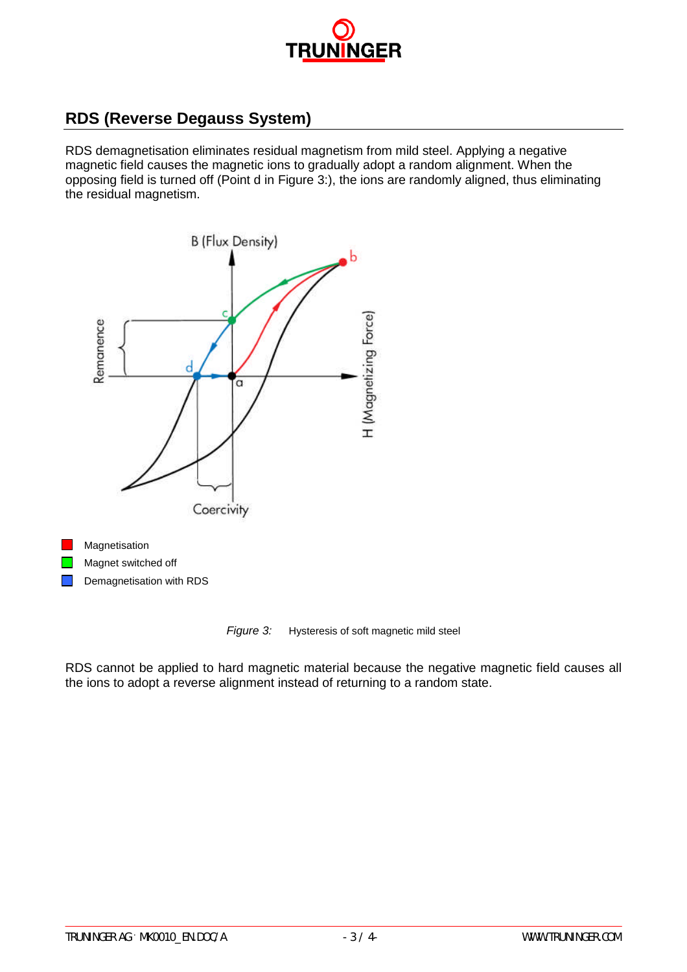

### **RDS (Reverse Degauss System)**

RDS demagnetisation eliminates residual magnetism from mild steel. Applying a negative magnetic field causes the magnetic ions to gradually adopt a random alignment. When the opposing field is turned off (Point d in Figure 3:), the ions are randomly aligned, thus eliminating the residual magnetism.



*Figure 3:* Hysteresis of soft magnetic mild steel

RDS cannot be applied to hard magnetic material because the negative magnetic field causes all the ions to adopt a reverse alignment instead of returning to a random state.